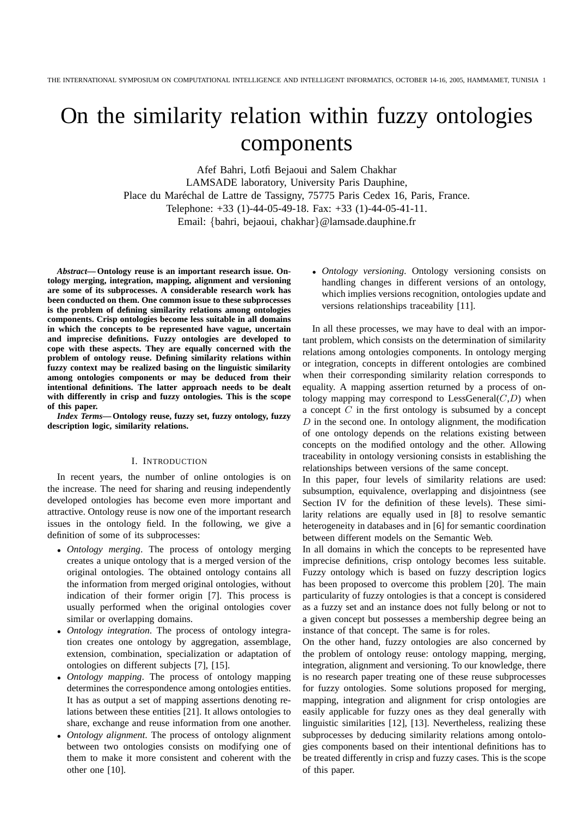# On the similarity relation within fuzzy ontologies components

Afef Bahri, Lotfi Bejaoui and Salem Chakhar LAMSADE laboratory, University Paris Dauphine, Place du Maréchal de Lattre de Tassigny, 75775 Paris Cedex 16, Paris, France. Telephone: +33 (1)-44-05-49-18. Fax: +33 (1)-44-05-41-11. Email: {bahri, bejaoui, chakhar}@lamsade.dauphine.fr

*Abstract***— Ontology reuse is an important research issue. Ontology merging, integration, mapping, alignment and versioning are some of its subprocesses. A considerable research work has been conducted on them. One common issue to these subprocesses is the problem of defining similarity relations among ontologies components. Crisp ontologies become less suitable in all domains in which the concepts to be represented have vague, uncertain and imprecise definitions. Fuzzy ontologies are developed to cope with these aspects. They are equally concerned with the problem of ontology reuse. Defining similarity relations within fuzzy context may be realized basing on the linguistic similarity among ontologies components or may be deduced from their intentional definitions. The latter approach needs to be dealt with differently in crisp and fuzzy ontologies. This is the scope of this paper.**

*Index Terms***— Ontology reuse, fuzzy set, fuzzy ontology, fuzzy description logic, similarity relations.**

## I. INTRODUCTION

In recent years, the number of online ontologies is on the increase. The need for sharing and reusing independently developed ontologies has become even more important and attractive. Ontology reuse is now one of the important research issues in the ontology field. In the following, we give a definition of some of its subprocesses:

- *Ontology merging*. The process of ontology merging creates a unique ontology that is a merged version of the original ontologies. The obtained ontology contains all the information from merged original ontologies, without indication of their former origin [7]. This process is usually performed when the original ontologies cover similar or overlapping domains.
- *Ontology integration*. The process of ontology integration creates one ontology by aggregation, assemblage, extension, combination, specialization or adaptation of ontologies on different subjects [7], [15].
- *Ontology mapping*. The process of ontology mapping determines the correspondence among ontologies entities. It has as output a set of mapping assertions denoting relations between these entities [21]. It allows ontologies to share, exchange and reuse information from one another.
- *Ontology alignment*. The process of ontology alignment between two ontologies consists on modifying one of them to make it more consistent and coherent with the other one [10].

• *Ontology versioning*. Ontology versioning consists on handling changes in different versions of an ontology, which implies versions recognition, ontologies update and versions relationships traceability [11].

In all these processes, we may have to deal with an important problem, which consists on the determination of similarity relations among ontologies components. In ontology merging or integration, concepts in different ontologies are combined when their corresponding similarity relation corresponds to equality. A mapping assertion returned by a process of ontology mapping may correspond to  $LessGeneral(C,D)$  when a concept  $C$  in the first ontology is subsumed by a concept  $D$  in the second one. In ontology alignment, the modification of one ontology depends on the relations existing between concepts on the modified ontology and the other. Allowing traceability in ontology versioning consists in establishing the relationships between versions of the same concept.

In this paper, four levels of similarity relations are used: subsumption, equivalence, overlapping and disjointness (see Section IV for the definition of these levels). These similarity relations are equally used in [8] to resolve semantic heterogeneity in databases and in [6] for semantic coordination between different models on the Semantic Web.

In all domains in which the concepts to be represented have imprecise definitions, crisp ontology becomes less suitable. Fuzzy ontology which is based on fuzzy description logics has been proposed to overcome this problem [20]. The main particularity of fuzzy ontologies is that a concept is considered as a fuzzy set and an instance does not fully belong or not to a given concept but possesses a membership degree being an instance of that concept. The same is for roles.

On the other hand, fuzzy ontologies are also concerned by the problem of ontology reuse: ontology mapping, merging, integration, alignment and versioning. To our knowledge, there is no research paper treating one of these reuse subprocesses for fuzzy ontologies. Some solutions proposed for merging, mapping, integration and alignment for crisp ontologies are easily applicable for fuzzy ones as they deal generally with linguistic similarities [12], [13]. Nevertheless, realizing these subprocesses by deducing similarity relations among ontologies components based on their intentional definitions has to be treated differently in crisp and fuzzy cases. This is the scope of this paper.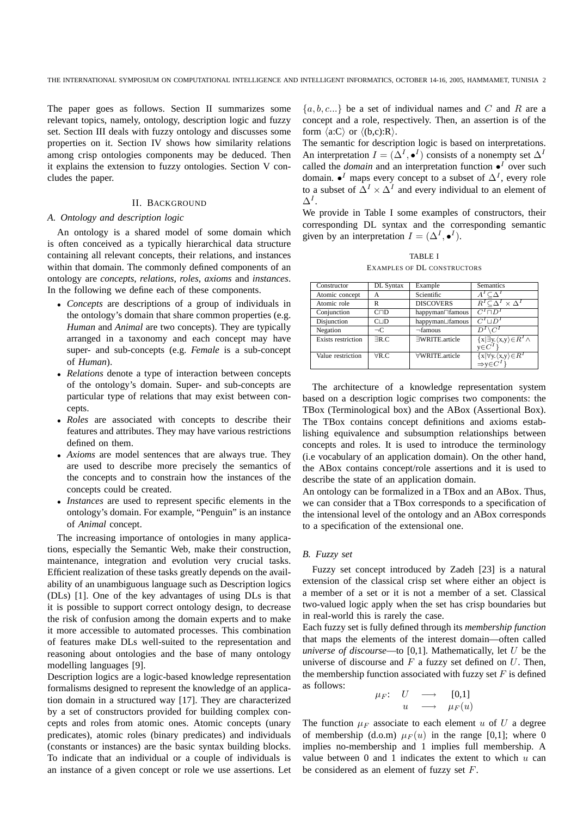The paper goes as follows. Section II summarizes some relevant topics, namely, ontology, description logic and fuzzy set. Section III deals with fuzzy ontology and discusses some properties on it. Section IV shows how similarity relations among crisp ontologies components may be deduced. Then it explains the extension to fuzzy ontologies. Section V concludes the paper.

## II. BACKGROUND

## *A. Ontology and description logic*

An ontology is a shared model of some domain which is often conceived as a typically hierarchical data structure containing all relevant concepts, their relations, and instances within that domain. The commonly defined components of an ontology are *concepts*, *relations*, *roles*, *axioms* and *instances*. In the following we define each of these components.

- *Concepts* are descriptions of a group of individuals in the ontology's domain that share common properties (e.g. *Human* and *Animal* are two concepts). They are typically arranged in a taxonomy and each concept may have super- and sub-concepts (e.g. *Female* is a sub-concept of *Human*).
- *Relations* denote a type of interaction between concepts of the ontology's domain. Super- and sub-concepts are particular type of relations that may exist between concepts.
- *Roles* are associated with concepts to describe their features and attributes. They may have various restrictions defined on them.
- *Axioms* are model sentences that are always true. They are used to describe more precisely the semantics of the concepts and to constrain how the instances of the concepts could be created.
- *Instances* are used to represent specific elements in the ontology's domain. For example, "Penguin" is an instance of *Animal* concept.

The increasing importance of ontologies in many applications, especially the Semantic Web, make their construction, maintenance, integration and evolution very crucial tasks. Efficient realization of these tasks greatly depends on the availability of an unambiguous language such as Description logics (DLs) [1]. One of the key advantages of using DLs is that it is possible to support correct ontology design, to decrease the risk of confusion among the domain experts and to make it more accessible to automated processes. This combination of features make DLs well-suited to the representation and reasoning about ontologies and the base of many ontology modelling languages [9].

Description logics are a logic-based knowledge representation formalisms designed to represent the knowledge of an application domain in a structured way [17]. They are characterized by a set of constructors provided for building complex concepts and roles from atomic ones. Atomic concepts (unary predicates), atomic roles (binary predicates) and individuals (constants or instances) are the basic syntax building blocks. To indicate that an individual or a couple of individuals is an instance of a given concept or role we use assertions. Let  $\{a, b, c...\}$  be a set of individual names and C and R are a concept and a role, respectively. Then, an assertion is of the form  $\langle a:C \rangle$  or  $\langle (b,c):R \rangle$ .

The semantic for description logic is based on interpretations. An interpretation  $I = (\Delta^I, \bullet^I)$  consists of a nonempty set  $\Delta^I$ called the *domain* and an interpretation function  $\bullet^I$  over such domain.  $\bullet^I$  maps every concept to a subset of  $\Delta^I$ , every role to a subset of  $\Delta^I \times \Delta^I$  and every individual to an element of  $\Delta^I.$ 

We provide in Table I some examples of constructors, their corresponding DL syntax and the corresponding semantic given by an interpretation  $I = (\Delta^I, \bullet^I)$ .

TABLE I EXAMPLES OF DL CONSTRUCTORS

| Constructor               | DL Syntax      | Example          | <b>Semantics</b>                                                        |
|---------------------------|----------------|------------------|-------------------------------------------------------------------------|
| Atomic concept            | А              | Scientific       |                                                                         |
| Atomic role               | R              | <b>DISCOVERS</b> | $R^I \subseteq \Delta^I \times \Delta^I$                                |
| Conjunction               | CDD            | happyman∩famous  | $C^I \square D$                                                         |
| Disjunction               | $C \cup D$     | happyman⊔famous  | $C^I \sqcup D^I$                                                        |
| Negation                  | $\neg C$       | $\neg$ famous    | $\overline{C}$                                                          |
| <b>Exists</b> restriction | $\nexists R.C$ | ∃WRITE.article   | $\{x \exists y.\langle x,y\rangle \in R^{I} \wedge$                     |
|                           |                |                  | $y \in C^1$                                                             |
| Value restriction         | $\forall R.C.$ | ∀WRITE.article   | $\{x \forall y.\langle x,y\rangle \in R^I$<br>$\Rightarrow y \in C^I\}$ |
|                           |                |                  |                                                                         |

The architecture of a knowledge representation system based on a description logic comprises two components: the TBox (Terminological box) and the ABox (Assertional Box). The TBox contains concept definitions and axioms establishing equivalence and subsumption relationships between concepts and roles. It is used to introduce the terminology (i.e vocabulary of an application domain). On the other hand, the ABox contains concept/role assertions and it is used to describe the state of an application domain.

An ontology can be formalized in a TBox and an ABox. Thus, we can consider that a TBox corresponds to a specification of the intensional level of the ontology and an ABox corresponds to a specification of the extensional one.

## *B. Fuzzy set*

Fuzzy set concept introduced by Zadeh [23] is a natural extension of the classical crisp set where either an object is a member of a set or it is not a member of a set. Classical two-valued logic apply when the set has crisp boundaries but in real-world this is rarely the case.

Each fuzzy set is fully defined through its *membership function* that maps the elements of the interest domain—often called *universe of discourse*—to [0,1]. Mathematically, let U be the universe of discourse and  $F$  a fuzzy set defined on  $U$ . Then, the membership function associated with fuzzy set  $F$  is defined as follows:

$$
\begin{array}{cccc}\n\mu_F: & U & \longrightarrow & [0,1] \\
u & \longrightarrow & \mu_F(u)\n\end{array}
$$

The function  $\mu_F$  associate to each element u of U a degree of membership (d.o.m)  $\mu_F(u)$  in the range [0,1]; where 0 implies no-membership and 1 implies full membership. A value between  $0$  and  $1$  indicates the extent to which  $u$  can be considered as an element of fuzzy set F.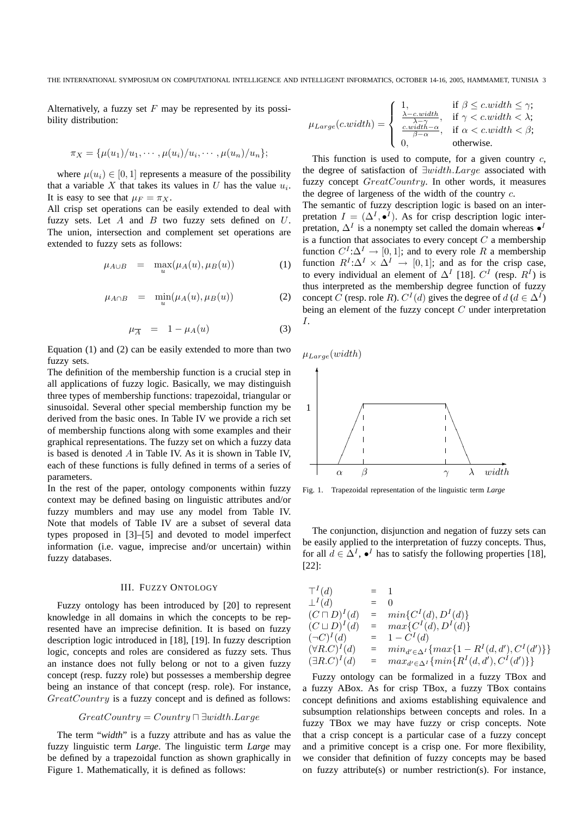Alternatively, a fuzzy set  $F$  may be represented by its possibility distribution:

$$
\pi_X = {\mu(u_1)/u_1, \cdots, \mu(u_i)/u_i, \cdots, \mu(u_n)/u_n};
$$

where  $\mu(u_i) \in [0, 1]$  represents a measure of the possibility that a variable X that takes its values in U has the value  $u_i$ . It is easy to see that  $\mu_F = \pi_X$ .

All crisp set operations can be easily extended to deal with fuzzy sets. Let  $A$  and  $B$  two fuzzy sets defined on  $U$ . The union, intersection and complement set operations are extended to fuzzy sets as follows:

$$
\mu_{A \cup B} = \max_{u} (\mu_A(u), \mu_B(u)) \tag{1}
$$

$$
\mu_{A \cap B} = \min_{u} (\mu_A(u), \mu_B(u)) \tag{2}
$$

$$
\mu_{\overline{A}} = 1 - \mu_A(u) \tag{3}
$$

Equation (1) and (2) can be easily extended to more than two fuzzy sets.

The definition of the membership function is a crucial step in all applications of fuzzy logic. Basically, we may distinguish three types of membership functions: trapezoidal, triangular or sinusoidal. Several other special membership function my be derived from the basic ones. In Table IV we provide a rich set of membership functions along with some examples and their graphical representations. The fuzzy set on which a fuzzy data is based is denoted A in Table IV. As it is shown in Table IV, each of these functions is fully defined in terms of a series of parameters.

In the rest of the paper, ontology components within fuzzy context may be defined basing on linguistic attributes and/or fuzzy mumblers and may use any model from Table IV. Note that models of Table IV are a subset of several data types proposed in [3]–[5] and devoted to model imperfect information (i.e. vague, imprecise and/or uncertain) within fuzzy databases.

#### III. FUZZY ONTOLOGY

Fuzzy ontology has been introduced by [20] to represent knowledge in all domains in which the concepts to be represented have an imprecise definition. It is based on fuzzy description logic introduced in [18], [19]. In fuzzy description logic, concepts and roles are considered as fuzzy sets. Thus an instance does not fully belong or not to a given fuzzy concept (resp. fuzzy role) but possesses a membership degree being an instance of that concept (resp. role). For instance, GreatCountry is a fuzzy concept and is defined as follows:

$$
GreatCountry = Country \sqcap \exists width. Large
$$

The term "*width*" is a fuzzy attribute and has as value the fuzzy linguistic term *Large*. The linguistic term *Large* may be defined by a trapezoidal function as shown graphically in Figure 1. Mathematically, it is defined as follows:

$$
\mu_{Large}(c.width) = \begin{cases}\n1, & \text{if } \beta \le c.width \le \gamma; \\
\frac{\lambda - c.width}{\lambda - \gamma}, & \text{if } \gamma < c.width < \lambda; \\
\frac{c.width - \alpha}{\beta - \alpha}, & \text{if } \alpha < c.width < \beta; \\
0, & \text{otherwise.} \n\end{cases}
$$

This function is used to compute, for a given country  $c$ , the degree of satisfaction of ∃width.Large associated with fuzzy concept GreatCountry. In other words, it measures the degree of largeness of the width of the country c.

The semantic of fuzzy description logic is based on an interpretation  $I = (\Delta^I, \bullet^I)$ . As for crisp description logic interpretation,  $\Delta^I$  is a nonempty set called the domain whereas  $\bullet^I$ is a function that associates to every concept  $C$  a membership function  $C^I:\Delta^I \to [0,1]$ ; and to every role R a membership function  $R^I:\Delta^I \times \Delta^I \to [0,1]$ ; and as for the crisp case, to every individual an element of  $\Delta^I$  [18].  $C^I$  (resp.  $R^I$ ) is thus interpreted as the membership degree function of fuzzy concept C (resp. role R).  $C^{I}(d)$  gives the degree of  $d$  ( $d \in \Delta^{I}$ ) being an element of the fuzzy concept  $C$  under interpretation I.

 $\mu_{Large}(width)$ 



Fig. 1. Trapezoidal representation of the linguistic term *Large*

The conjunction, disjunction and negation of fuzzy sets can be easily applied to the interpretation of fuzzy concepts. Thus, for all  $d \in \Delta^I$ ,  $\bullet^I$  has to satisfy the following properties [18], [22]:

$$
T^{I}(d) = 1
$$
  
\n
$$
L^{I}(d) = 0
$$
  
\n
$$
(C \sqcap D)^{I}(d) = min\{C^{I}(d), D^{I}(d)\}
$$
  
\n
$$
(C \sqcup D)^{I}(d) = max\{C^{I}(d), D^{I}(d)\}
$$
  
\n
$$
(\neg C)^{I}(d) = 1 - C^{I}(d)
$$
  
\n
$$
(\forall R.C)^{I}(d) = min_{d' \in \Delta^{I}}\{max\{1 - R^{I}(d, d'), C^{I}(d')\}\}
$$
  
\n
$$
(\exists R.C)^{I}(d) = max_{d' \in \Delta^{I}}\{min\{R^{I}(d, d'), C^{I}(d')\}\}
$$

Fuzzy ontology can be formalized in a fuzzy TBox and a fuzzy ABox. As for crisp TBox, a fuzzy TBox contains concept definitions and axioms establishing equivalence and subsumption relationships between concepts and roles. In a fuzzy TBox we may have fuzzy or crisp concepts. Note that a crisp concept is a particular case of a fuzzy concept and a primitive concept is a crisp one. For more flexibility, we consider that definition of fuzzy concepts may be based on fuzzy attribute(s) or number restriction(s). For instance,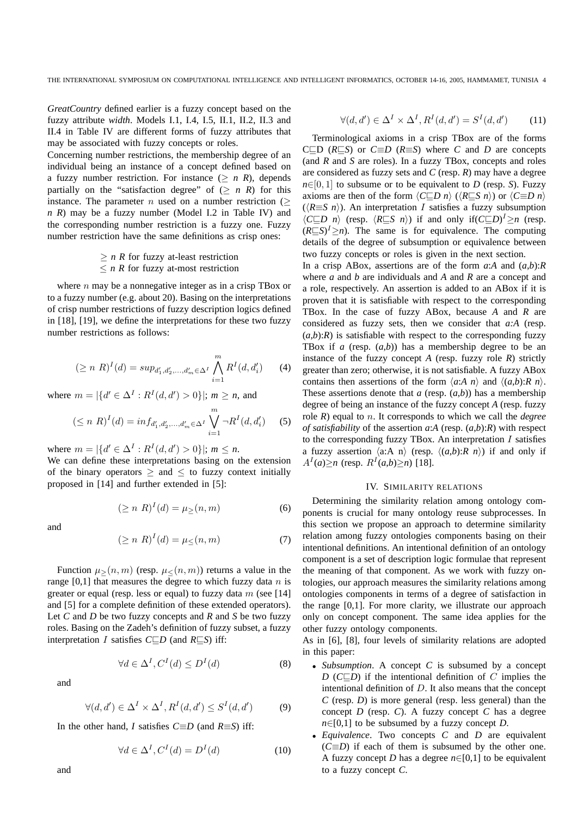*GreatCountry* defined earlier is a fuzzy concept based on the fuzzy attribute *width*. Models I.1, I.4, I.5, II.1, II.2, II.3 and II.4 in Table IV are different forms of fuzzy attributes that may be associated with fuzzy concepts or roles.

Concerning number restrictions, the membership degree of an individual being an instance of a concept defined based on a fuzzy number restriction. For instance  $(2 n R)$ , depends partially on the "satisfaction degree" of  $(\geq n \ R)$  for this instance. The parameter *n* used on a number restriction  $($ *n R*) may be a fuzzy number (Model I.2 in Table IV) and the corresponding number restriction is a fuzzy one. Fuzzy number restriction have the same definitions as crisp ones:

$$
\geq n
$$
 *R* for fuzzy at-least restriction  $\leq n$  *R* for fuzzy at-most restriction

where  $n$  may be a nonnegative integer as in a crisp TBox or to a fuzzy number (e.g. about 20). Basing on the interpretations of crisp number restrictions of fuzzy description logics defined in [18], [19], we define the interpretations for these two fuzzy number restrictions as follows:

$$
(\geq n \ R)^{I}(d) = \sup_{d'_1, d'_2, \dots, d'_m \in \Delta^I} \bigwedge_{i=1}^m R^{I}(d, d'_i) \qquad (4)
$$

where  $m = |\{d' \in \Delta^I : R^I(d, d') > 0\}|$ ;  $m \ge n$ , and

$$
(\leq n \ R)^{I}(d) = \inf_{d'_1, d'_2, \dots, d'_m \in \Delta^I} \bigvee_{i=1}^m \neg R^{I}(d, d'_i) \qquad (5)
$$

where  $m = |\{d' \in \Delta^I : R^I(d, d') > 0\}|$ ;  $m \leq n$ .

We can define these interpretations basing on the extension of the binary operators  $\geq$  and  $\leq$  to fuzzy context initially proposed in [14] and further extended in [5]:

$$
(\geq n \ R)^{I}(d) = \mu_{\geq}(n, m) \tag{6}
$$

and

$$
(\geq n \ R)^{I}(d) = \mu_{\leq}(n,m) \tag{7}
$$

Function  $\mu > (n, m)$  (resp.  $\mu < (n, m)$ ) returns a value in the range  $[0,1]$  that measures the degree to which fuzzy data n is greater or equal (resp. less or equal) to fuzzy data  $m$  (see [14] and [5] for a complete definition of these extended operators). Let *C* and *D* be two fuzzy concepts and *R* and *S* be two fuzzy roles. Basing on the Zadeh's definition of fuzzy subset, a fuzzy interpretation I satisfies *C*⊑*D* (and *R*⊑*S*) iff:

$$
\forall d \in \Delta^I, C^I(d) \le D^I(d) \tag{8}
$$

and

$$
\forall (d, d') \in \Delta^I \times \Delta^I, R^I(d, d') \le S^I(d, d')
$$
 (9)

In the other hand, *I* satisfies *C*≡*D* (and *R*≡*S*) iff:

$$
\forall d \in \Delta^I, C^I(d) = D^I(d) \tag{10}
$$

$$
\forall (d, d') \in \Delta^I \times \Delta^I, R^I(d, d') = S^I(d, d')
$$
 (11)

Terminological axioms in a crisp TBox are of the forms C⊑D ( $R \subseteq S$ ) or  $C \equiv D$  ( $R \equiv S$ ) where *C* and *D* are concepts (and *R* and *S* are roles). In a fuzzy TBox, concepts and roles are considered as fuzzy sets and *C* (resp. *R*) may have a degree  $n \in [0, 1]$  to subsume or to be equivalent to *D* (resp. *S*). Fuzzy axioms are then of the form  $\langle C\sqsubseteq D \rangle n \rangle$  ( $\langle R\sqsubseteq S \rangle n$ ) or  $\langle C\equiv D \rangle n$  $(\langle R \equiv S \; n \rangle)$ . An interpretation I satisfies a fuzzy subsumption  $\langle C\sqsubseteq D \mid n \rangle$  (resp.  $\langle R\sqsubseteq S \mid n \rangle$ ) if and only if( $C\sqsubseteq D$ <sup>*I*</sup> ≥*n* (resp.  $(R \subseteq S)^{I} \geq n$ ). The same is for equivalence. The computing details of the degree of subsumption or equivalence between two fuzzy concepts or roles is given in the next section.

In a crisp ABox, assertions are of the form *a*:*A* and (*a*,*b*):*R* where *a* and *b* are individuals and *A* and *R* are a concept and a role, respectively. An assertion is added to an ABox if it is proven that it is satisfiable with respect to the corresponding TBox. In the case of fuzzy ABox, because *A* and *R* are considered as fuzzy sets, then we consider that *a:A* (resp.  $(a,b)$ :*R*) is satisfiable with respect to the corresponding fuzzy TBox if  $a$  (resp.  $(a,b)$ ) has a membership degree to be an instance of the fuzzy concept  $A$  (resp. fuzzy role  $R$ ) strictly greater than zero; otherwise, it is not satisfiable. A fuzzy ABox contains then assertions of the form  $\langle a:A \; n \rangle$  and  $\langle (a,b):R \; n \rangle$ . These assertions denote that  $a$  (resp.  $(a,b)$ ) has a membership degree of being an instance of the fuzzy concept *A* (resp. fuzzy role *R*) equal to n. It corresponds to which we call the *degree of satisfiability* of the assertion *a*:*A* (resp. (*a*,*b*):*R*) with respect to the corresponding fuzzy TBox. An interpretation  $I$  satisfies a fuzzy assertion  $\langle a:A \; n \rangle$  (resp.  $\langle (a,b):R \; n \rangle$ ) if and only if  $A^{I}(a) \ge n$  (resp.  $R^{I}(a,b) \ge n$ ) [18].

#### IV. SIMILARITY RELATIONS

Determining the similarity relation among ontology components is crucial for many ontology reuse subprocesses. In this section we propose an approach to determine similarity relation among fuzzy ontologies components basing on their intentional definitions. An intentional definition of an ontology component is a set of description logic formulae that represent the meaning of that component. As we work with fuzzy ontologies, our approach measures the similarity relations among ontologies components in terms of a degree of satisfaction in the range [0,1]. For more clarity, we illustrate our approach only on concept component. The same idea applies for the other fuzzy ontology components.

As in [6], [8], four levels of similarity relations are adopted in this paper:

- *Subsumption*. A concept *C* is subsumed by a concept *D* (*C*⊏*D*) if the intentional definition of *C* implies the intentional definition of  $D$ . It also means that the concept *C* (resp. *D*) is more general (resp. less general) than the concept *D* (resp. *C*). A fuzzy concept *C* has a degree  $n \in [0,1]$  to be subsumed by a fuzzy concept *D*.
- *Equivalence*. Two concepts *C* and *D* are equivalent  $(C \equiv D)$  if each of them is subsumed by the other one. A fuzzy concept *D* has a degree *n*∈[0,1] to be equivalent to a fuzzy concept *C*.

and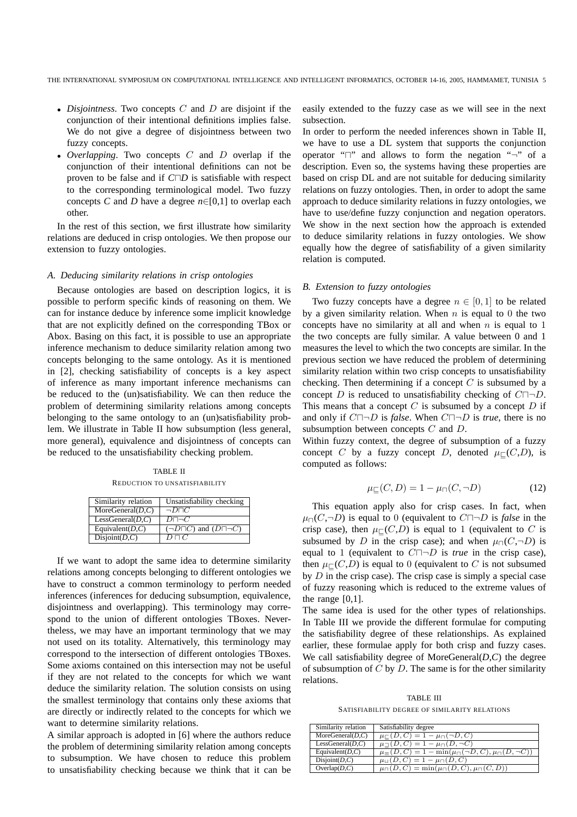- *Disjointness*. Two concepts C and D are disjoint if the conjunction of their intentional definitions implies false. We do not give a degree of disjointness between two fuzzy concepts.
- *Overlapping*. Two concepts C and D overlap if the conjunction of their intentional definitions can not be proven to be false and if *C*⊓*D* is satisfiable with respect to the corresponding terminological model. Two fuzzy concepts *C* and *D* have a degree  $n \in [0,1]$  to overlap each other.

In the rest of this section, we first illustrate how similarity relations are deduced in crisp ontologies. We then propose our extension to fuzzy ontologies.

## *A. Deducing similarity relations in crisp ontologies*

Because ontologies are based on description logics, it is possible to perform specific kinds of reasoning on them. We can for instance deduce by inference some implicit knowledge that are not explicitly defined on the corresponding TBox or Abox. Basing on this fact, it is possible to use an appropriate inference mechanism to deduce similarity relation among two concepts belonging to the same ontology. As it is mentioned in [2], checking satisfiability of concepts is a key aspect of inference as many important inference mechanisms can be reduced to the (un)satisfiability. We can then reduce the problem of determining similarity relations among concepts belonging to the same ontology to an (un)satisfiability problem. We illustrate in Table II how subsumption (less general, more general), equivalence and disjointness of concepts can be reduced to the unsatisfiability checking problem.

TABLE II REDUCTION TO UNSATISFIABILITY

| Similarity relation  | Unsatisfiability checking                   |
|----------------------|---------------------------------------------|
| MoreGeneral $(D,C)$  | $\neg D \Box C$                             |
| LessGeneral $(D,C)$  | $D\Box\neg C$                               |
| Equivalent( $D, C$ ) | $(\neg D \sqcap C)$ and $(D \sqcap \neg C)$ |
| Disjoint(D,C)        | $D\sqcap C$                                 |

If we want to adopt the same idea to determine similarity relations among concepts belonging to different ontologies we have to construct a common terminology to perform needed inferences (inferences for deducing subsumption, equivalence, disjointness and overlapping). This terminology may correspond to the union of different ontologies TBoxes. Nevertheless, we may have an important terminology that we may not used on its totality. Alternatively, this terminology may correspond to the intersection of different ontologies TBoxes. Some axioms contained on this intersection may not be useful if they are not related to the concepts for which we want deduce the similarity relation. The solution consists on using the smallest terminology that contains only these axioms that are directly or indirectly related to the concepts for which we want to determine similarity relations.

A similar approach is adopted in [6] where the authors reduce the problem of determining similarity relation among concepts to subsumption. We have chosen to reduce this problem to unsatisfiability checking because we think that it can be easily extended to the fuzzy case as we will see in the next subsection.

In order to perform the needed inferences shown in Table II, we have to use a DL system that supports the conjunction operator "⊓" and allows to form the negation "¬" of a description. Even so, the systems having these properties are based on crisp DL and are not suitable for deducing similarity relations on fuzzy ontologies. Then, in order to adopt the same approach to deduce similarity relations in fuzzy ontologies, we have to use/define fuzzy conjunction and negation operators. We show in the next section how the approach is extended to deduce similarity relations in fuzzy ontologies. We show equally how the degree of satisfiability of a given similarity relation is computed.

#### *B. Extension to fuzzy ontologies*

Two fuzzy concepts have a degree  $n \in [0, 1]$  to be related by a given similarity relation. When  $n$  is equal to 0 the two concepts have no similarity at all and when  $n$  is equal to 1 the two concepts are fully similar. A value between 0 and 1 measures the level to which the two concepts are similar. In the previous section we have reduced the problem of determining similarity relation within two crisp concepts to unsatisfiability checking. Then determining if a concept  $C$  is subsumed by a concept D is reduced to unsatisfiability checking of  $C\Box\neg D$ . This means that a concept  $C$  is subsumed by a concept  $D$  if and only if C⊓¬D is *false*. When C⊓¬D is *true*, there is no subsumption between concepts C and D.

Within fuzzy context, the degree of subsumption of a fuzzy concept C by a fuzzy concept D, denoted  $\mu\subset (C,D)$ , is computed as follows:

$$
\mu_{\sqsubseteq}(C, D) = 1 - \mu_{\sqcap}(C, \neg D) \tag{12}
$$

This equation apply also for crisp cases. In fact, when  $\mu$ <sub>□</sub>(C,¬D) is equal to 0 (equivalent to C $\Box$ ¬D is *false* in the crisp case), then  $\mu\text{C}(C,D)$  is equal to 1 (equivalent to C is subsumed by D in the crisp case); and when  $\mu_{\Box}(C, \neg D)$  is equal to 1 (equivalent to C⊓¬D is *true* in the crisp case), then  $\mu\text{E}(C,D)$  is equal to 0 (equivalent to C is not subsumed by  $D$  in the crisp case). The crisp case is simply a special case of fuzzy reasoning which is reduced to the extreme values of the range  $[0,1]$ .

The same idea is used for the other types of relationships. In Table III we provide the different formulae for computing the satisfiability degree of these relationships. As explained earlier, these formulae apply for both crisp and fuzzy cases. We call satisfiability degree of MoreGeneral(*D*,*C*) the degree of subsumption of  $C$  by  $D$ . The same is for the other similarity relations.

TABLE III SATISFIABILITY DEGREE OF SIMILARITY RELATIONS

| Similarity relation  | Satisfiability degree                                                      |
|----------------------|----------------------------------------------------------------------------|
| MoreGeneral(D, C)    | $\mu_{\square}(D, C) = 1 - \mu_{\square}(\neg D, C)$                       |
| LessGeneral(D,C)     | $\mu_{\Box}(D, C) = 1 - \mu_{\Box}(D, \neg C)$                             |
| Equivalent( $D, C$ ) | $\mu \equiv (D, C) = 1 - \min(\mu \cap (\neg D, C), \mu \cap (D, \neg C))$ |
| Disjoint(D,C)        | $\mu_{\square}(D, C) = 1 - \mu_{\square}(D, C)$                            |
| Overlap $(D,C)$      | $\mu_{\square}(D, C) = \min(\mu_{\square}(D, C), \mu_{\square}(C, D))$     |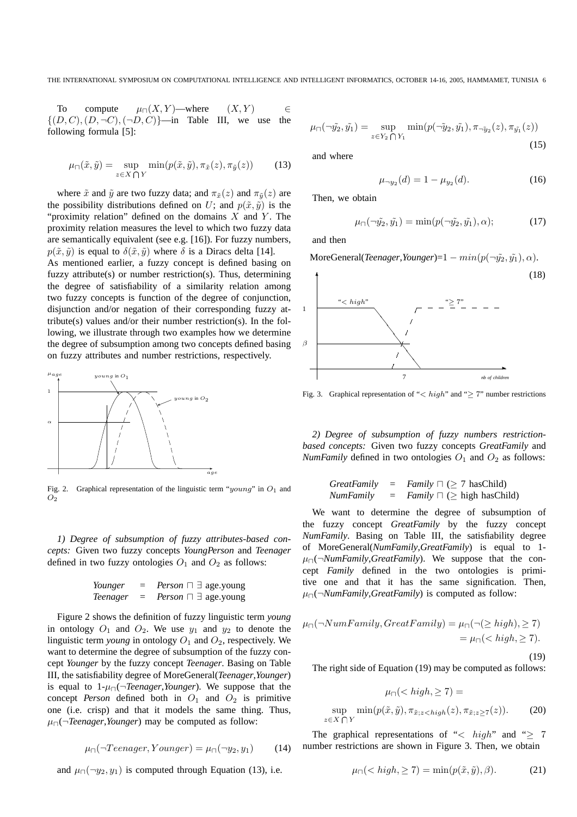To compute  $\mu_{\Box}(X, Y)$ —where  $(X, Y)$   $\in$  $\{(D, C), (D, \neg C), (\neg D, C)\}$ —in Table III, we use the following formula [5]:

$$
\mu_{\square}(\tilde{x}, \tilde{y}) = \sup_{z \in X \bigcap Y} \min(p(\tilde{x}, \tilde{y}), \pi_{\tilde{x}}(z), \pi_{\tilde{y}}(z)) \tag{13}
$$

where  $\tilde{x}$  and  $\tilde{y}$  are two fuzzy data; and  $\pi_{\tilde{x}}(z)$  and  $\pi_{\tilde{y}}(z)$  are the possibility distributions defined on U; and  $p(\tilde{x}, \tilde{y})$  is the "proximity relation" defined on the domains  $X$  and  $Y$ . The proximity relation measures the level to which two fuzzy data are semantically equivalent (see e.g. [16]). For fuzzy numbers,  $p(\tilde{x}, \tilde{y})$  is equal to  $\delta(\tilde{x}, \tilde{y})$  where  $\delta$  is a Diracs delta [14].

As mentioned earlier, a fuzzy concept is defined basing on fuzzy attribute(s) or number restriction(s). Thus, determining the degree of satisfiability of a similarity relation among two fuzzy concepts is function of the degree of conjunction, disjunction and/or negation of their corresponding fuzzy attribute(s) values and/or their number restriction(s). In the following, we illustrate through two examples how we determine the degree of subsumption among two concepts defined basing on fuzzy attributes and number restrictions, respectively.



Fig. 2. Graphical representation of the linguistic term " $young$ " in  $O<sub>1</sub>$  and  $O<sub>2</sub>$ 

*1) Degree of subsumption of fuzzy attributes-based concepts:* Given two fuzzy concepts *YoungPerson* and *Teenager* defined in two fuzzy ontologies  $O_1$  and  $O_2$  as follows:

| Younger  | $=$ | <i>Person</i> $\sqcap \exists$ age.young |
|----------|-----|------------------------------------------|
| Teenager | $=$ | <i>Person</i> $\sqcap \exists$ age.young |

Figure 2 shows the definition of fuzzy linguistic term *young* in ontology  $O_1$  and  $O_2$ . We use  $y_1$  and  $y_2$  to denote the linguistic term *young* in ontology  $O_1$  and  $O_2$ , respectively. We want to determine the degree of subsumption of the fuzzy concept *Younger* by the fuzzy concept *Teenager*. Basing on Table III, the satisfiability degree of MoreGeneral(*Teenager*,*Younger*) is equal to 1-µ⊓(¬*Teenager*,*Younger*). We suppose that the concept *Person* defined both in  $O_1$  and  $O_2$  is primitive one (i.e. crisp) and that it models the same thing. Thus, µ⊓(¬*Teenager*,*Younger*) may be computed as follow:

$$
\mu_{\sqcap}(\neg Teenager, Younger) = \mu_{\sqcap}(\neg y_2, y_1) \tag{14}
$$

and  $\mu_{\Box}(\neg y_2, y_1)$  is computed through Equation (13), i.e.

$$
\mu_{\sqcap}(\neg \tilde{y_2}, \tilde{y_1}) = \sup_{z \in Y_2 \bigcap Y_1} \min(p(\neg \tilde{y}_2, \tilde{y_1}), \pi_{\neg \tilde{y}_2}(z), \pi_{\tilde{y_1}}(z)) \tag{15}
$$

and where

$$
\mu_{\neg y_2}(d) = 1 - \mu_{y_2}(d). \tag{16}
$$

Then, we obtain

$$
\mu_{\square}(\neg \tilde{y_2}, \tilde{y_1}) = \min(p(\neg \tilde{y_2}, \tilde{y_1}), \alpha); \tag{17}
$$

and then

MoreGeneral(*Teenager*,*Younger*)=1 –  $min(p(\neg \tilde{y}_2, \tilde{y}_1), \alpha)$ .



Fig. 3. Graphical representation of " $\lt{high}$ " and " $\geq$  7" number restrictions

*2) Degree of subsumption of fuzzy numbers restrictionbased concepts:* Given two fuzzy concepts *GreatFamily* and *NumFamily* defined in two ontologies  $O_1$  and  $O_2$  as follows:

*GreatFamily* = *Family* 
$$
\sqcap
$$
 ( $\geq$  7 hasChild)  
*NumFamily* = *Family*  $\sqcap$  ( $\geq$  high hasChild)

We want to determine the degree of subsumption of the fuzzy concept *GreatFamily* by the fuzzy concept *NumFamily*. Basing on Table III, the satisfiability degree of MoreGeneral(*NumFamily*,*GreatFamily*) is equal to 1 µ⊓(¬*NumFamily*,*GreatFamily*). We suppose that the concept *Family* defined in the two ontologies is primitive one and that it has the same signification. Then, µ⊓(¬*NumFamily*,*GreatFamily*) is computed as follow:

$$
\mu_{\Box}(\neg NumFamily, Great Family) = \mu_{\Box}(\neg (\ge high), \ge 7)
$$
  
= 
$$
\mu_{\Box}(\langle high, \ge 7).
$$

(19)

The right side of Equation (19) may be computed as follows:

$$
\mu_{\sqcap}(  
\n
$$
\sup_{z \in X \bigcap Y} \min(p(\tilde{x}, \tilde{y}), \pi_{\tilde{x}; z < high}(z), \pi_{\tilde{x}; z \geq 7}(z)).
$$
\n(20)
$$

The graphical representations of "< high" and " $\geq$  7 number restrictions are shown in Figure 3. Then, we obtain

 $\sup_{z \in X}$ 

$$
\mu_{\sqcap}(
$$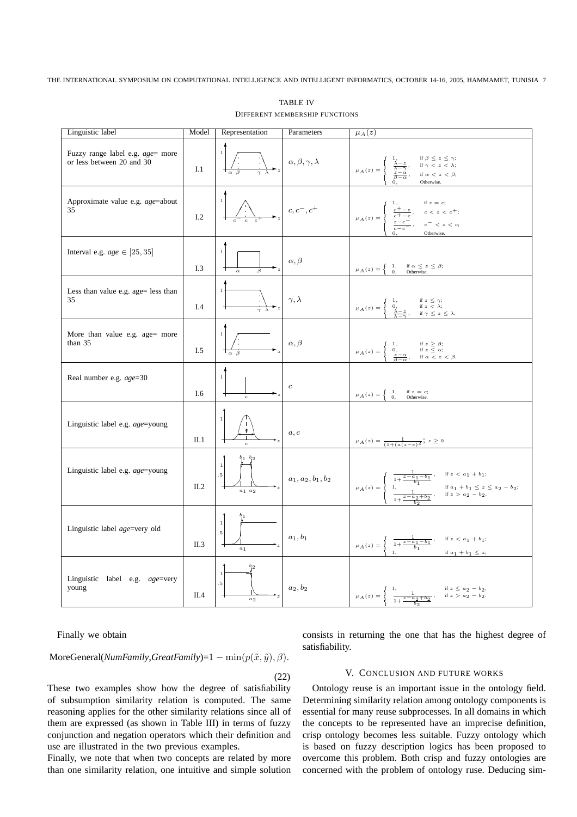THE INTERNATIONAL SYMPOSIUM ON COMPUTATIONAL INTELLIGENCE AND INTELLIGENT INFORMATICS, OCTOBER 14-16, 2005, HAMMAMET, TUNISIA 7

| Linguistic label                                                      |               | Model Representation                                 | Parameters                       | $\mu_A(z)$                                                                                                                                                                                                                                     |  |  |  |
|-----------------------------------------------------------------------|---------------|------------------------------------------------------|----------------------------------|------------------------------------------------------------------------------------------------------------------------------------------------------------------------------------------------------------------------------------------------|--|--|--|
| Fuzzy range label e.g. <i>age</i> = more<br>or less between 20 and 30 | $\;$ I.1 $\;$ |                                                      | $\alpha, \beta, \gamma, \lambda$ | if $\beta \leq z \leq \gamma$ ;<br>$\frac{\lambda - z}{\lambda - \gamma}$ $\frac{z - \alpha}{\beta - \alpha}$<br>if $\gamma$ < z < $\lambda$ ;<br>$\mu_A(z) =$<br>if $\alpha$ < z < $\beta$ ;<br>Otherwise.                                    |  |  |  |
| Approximate value e.g. age=about<br>35                                | I.2           | $c \quad c$                                          | $c, c^-, c^+$                    | if $z = c$ ;<br>$rac{c^+ - z}{c^+ - c}$<br>$c < z < c^{+}$ ;<br>$\mu_A(z) =$<br>$\frac{z-c^{-}}{c-c^{-}}$ 0,<br>$c^{-} < z < c;$<br>Otherwise.                                                                                                 |  |  |  |
| Interval e.g. $age \in [25, 35]$                                      | I.3           | $\beta$<br>$\alpha$                                  | $\alpha, \beta$                  | $\mu_A(z) = \begin{cases} 1, & \text{if } \alpha \leq z \leq \beta; \\ 0, & \text{Otherwise.} \end{cases}$                                                                                                                                     |  |  |  |
| Less than value e.g. age= less than<br>35                             | $I.4$         | $\overline{\gamma \lambda}$                          | $\gamma, \lambda$                | $\begin{array}{l} \mbox{if } z \, \leq \, \gamma; \\ \mbox{if } z \, < \, \lambda; \end{array}$<br>$\frac{0}{\lambda-z}$<br>$\mu_A(z) =$<br>$\text{if } \gamma \hspace{.05cm} \le \hspace{.05cm} z \hspace{.05cm} \le \hspace{.05cm} \lambda.$ |  |  |  |
| More than value e.g. age= more<br>than $35$                           | I.5           | $\frac{1}{\alpha}$ $\beta$                           | $\alpha, \beta$                  | $\begin{array}{l} \mbox{if } z \geq \beta;\\ \mbox{if } z \leq \alpha; \end{array}$<br>1,<br>$\frac{0}{\beta-\alpha}$<br>$\mu_A(z) = \langle$<br>if $\alpha$ < z < $\beta$ .                                                                   |  |  |  |
| Real number e.g. age=30                                               | I.6           | $\boldsymbol{c}$                                     | $\boldsymbol{c}$                 | $\left\{ \begin{array}{rcl} 1, & & \mbox{if $z=c$;} \\ 0, & & \mbox{Otherwise.} \end{array} \right.$<br>$\mu_A(z) =$                                                                                                                           |  |  |  |
| Linguistic label e.g. age=young                                       | $\rm II.1$    | $\pmb{\phi}$<br>$\boldsymbol{c}$                     | a, c                             | $\mu_A(z) = \frac{1}{(1 + (a(z - c))^2)}$ ; $z \ge 0$                                                                                                                                                                                          |  |  |  |
| Linguistic label e.g. age=young                                       | II.2          | $b_1$ $b_2$<br>$\scriptstyle a_1$ $\scriptstyle a_2$ | $a_1, a_2, b_1, b_2$             | if $z \, < \, a_{\,1} \, + \, b_{\,1};$<br>$\mu_A\left(z\right)$ =<br>$\begin{array}{l} \text{if } a_1+b_1\leq z\leq a_2-b_2;\\ \text{if } z>a_2-b_2. \end{array}$<br>$1 + \frac{z - a_2 + b_2}{ }$                                            |  |  |  |
| Linguistic label age=very old                                         | II.3          | $b_{1}$<br>$\scriptstyle a_1$                        | $a_1, b_1$                       | if $z \, < \, a_1 \, + \, b_1;$<br>$\frac{1}{1+\frac{z-a_1-b_1}{b_1}}$<br>$\mu_A(z) =$<br>if $a_1 + b_1 \leq z$ ;                                                                                                                              |  |  |  |
| Linguistic label e.g. age=very<br>young                               | II.4          | $b_{2}$<br>$a_2$                                     | $a_2, b_2$                       | $\begin{array}{l} \mbox{if } z\,\leq\, a_2\,-\,b_2;\\ \mbox{if } z\,>\, a_2\,-\,b_2. \end{array}$<br>$\mu_A\left(z\right) = \cdot$<br>$\frac{1}{1+\frac{z-a_2+b_2}{2}}$                                                                        |  |  |  |

TABLE IV DIFFERENT MEMBERSHIP FUNCTIONS

Finally we obtain

MoreGeneral(*NumFamily*,*GreatFamily*)=1 – min( $p(\tilde{x}, \tilde{y}), \beta$ ).

(22)

These two examples show how the degree of satisfiability of subsumption similarity relation is computed. The same reasoning applies for the other similarity relations since all of them are expressed (as shown in Table III) in terms of fuzzy conjunction and negation operators which their definition and use are illustrated in the two previous examples.

Finally, we note that when two concepts are related by more than one similarity relation, one intuitive and simple solution consists in returning the one that has the highest degree of satisfiability.

 $b_2$ 

# V. CONCLUSION AND FUTURE WORKS

Ontology reuse is an important issue in the ontology field. Determining similarity relation among ontology components is essential for many reuse subprocesses. In all domains in which the concepts to be represented have an imprecise definition, crisp ontology becomes less suitable. Fuzzy ontology which is based on fuzzy description logics has been proposed to overcome this problem. Both crisp and fuzzy ontologies are concerned with the problem of ontology ruse. Deducing sim